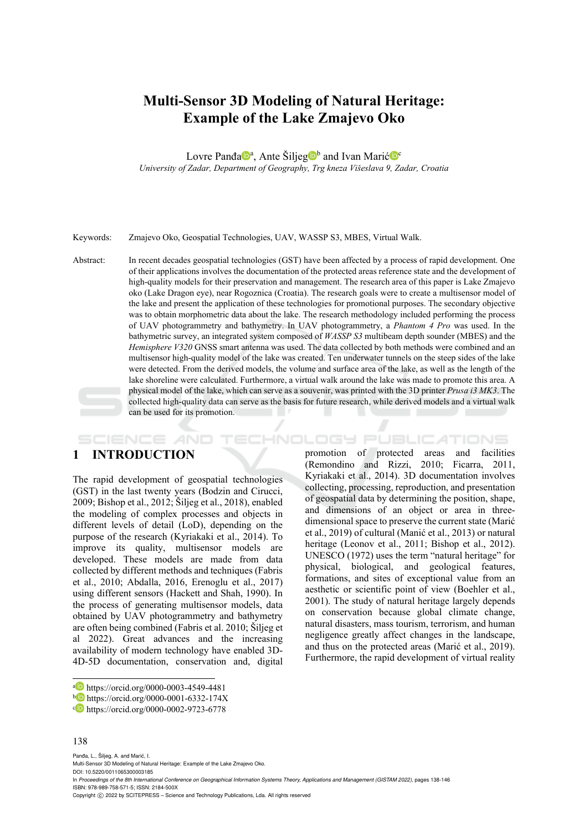# **Multi-Sensor 3D Modeling of Natural Heritage: Example of the Lake Zmajevo Oko**

Lovre Panđa<sup>na</sup>, Ante Šiljeg<sup>nb</sup> and Ivan Marić<sup>ne</sup> *University of Zadar, Department of Geography, Trg kneza Višeslava 9, Zadar, Croatia* 

Keywords: Zmajevo Oko, Geospatial Technologies, UAV, WASSP S3, MBES, Virtual Walk.

Abstract: In recent decades geospatial technologies (GST) have been affected by a process of rapid development. One of their applications involves the documentation of the protected areas reference state and the development of high-quality models for their preservation and management. The research area of this paper is Lake Zmajevo oko (Lake Dragon eye), near Rogoznica (Croatia). The research goals were to create a multisensor model of the lake and present the application of these technologies for promotional purposes. The secondary objective was to obtain morphometric data about the lake. The research methodology included performing the process of UAV photogrammetry and bathymetry. In UAV photogrammetry, a *Phantom 4 Pro* was used. In the bathymetric survey, an integrated system composed of *WASSP S3* multibeam depth sounder (MBES) and the *Hemisphere V320* GNSS smart antenna was used. The data collected by both methods were combined and an multisensor high-quality model of the lake was created. Ten underwater tunnels on the steep sides of the lake were detected. From the derived models, the volume and surface area of the lake, as well as the length of the lake shoreline were calculated. Furthermore, a virtual walk around the lake was made to promote this area. A physical model of the lake, which can serve as a souvenir, was printed with the 3D printer *Prusa i3 MK3*. The collected high-quality data can serve as the basis for future research, while derived models and a virtual walk can be used for its promotion.  $\mathbf{r}$ 

## **1 INTRODUCTION**

SCIENCE *A*ND

The rapid development of geospatial technologies (GST) in the last twenty years (Bodzin and Cirucci, 2009; Bishop et al., 2012; Šiljeg et al., 2018), enabled the modeling of complex processes and objects in different levels of detail (LoD), depending on the purpose of the research (Kyriakaki et al., 2014). To improve its quality, multisensor models are developed. These models are made from data collected by different methods and techniques (Fabris et al., 2010; Abdalla, 2016, Erenoglu et al., 2017) using different sensors (Hackett and Shah, 1990). In the process of generating multisensor models, data obtained by UAV photogrammetry and bathymetry are often being combined (Fabris et al. 2010; Šiljeg et al 2022). Great advances and the increasing availability of modern technology have enabled 3D-4D-5D documentation, conservation and, digital

#### 138

Panda, L., Šiljeg, A. and Marić, I.

Multi-Sensor 3D Modeling of Natural Heritage: Example of the Lake Zmajevo Oko.

DOI: 10.5220/0011065300003185 In *Proceedings of the 8th International Conference on Geographical Information Systems Theory, Applications and Management (GISTAM 2022)*, pages 138-146 ISBN: 978-989-758-571-5; ISSN: 2184-500X

Copyright © 2022 by SCITEPRESS - Science and Technology Publications, Lda. All rights reserved

promotion of protected areas and facilities (Remondino and Rizzi, 2010; Ficarra, 2011, Kyriakaki et al., 2014). 3D documentation involves collecting, processing, reproduction, and presentation of geospatial data by determining the position, shape, and dimensions of an object or area in threedimensional space to preserve the current state (Marić et al., 2019) of cultural (Manić et al., 2013) or natural heritage (Leonov et al., 2011; Bishop et al., 2012). UNESCO (1972) uses the term "natural heritage" for physical, biological, and geological features, formations, and sites of exceptional value from an aesthetic or scientific point of view (Boehler et al., 2001). The study of natural heritage largely depends on conservation because global climate change, natural disasters, mass tourism, terrorism, and human negligence greatly affect changes in the landscape, and thus on the protected areas (Marić et al., 2019). Furthermore, the rapid development of virtual reality

**TECHNOLOGY PUBLICATIONS** 

a https://orcid.org/0000-0003-4549-4481<br>b https://orcid.org/0000-0001-6332-174X<br>c https://orcid.org/0000-0002-9723-6778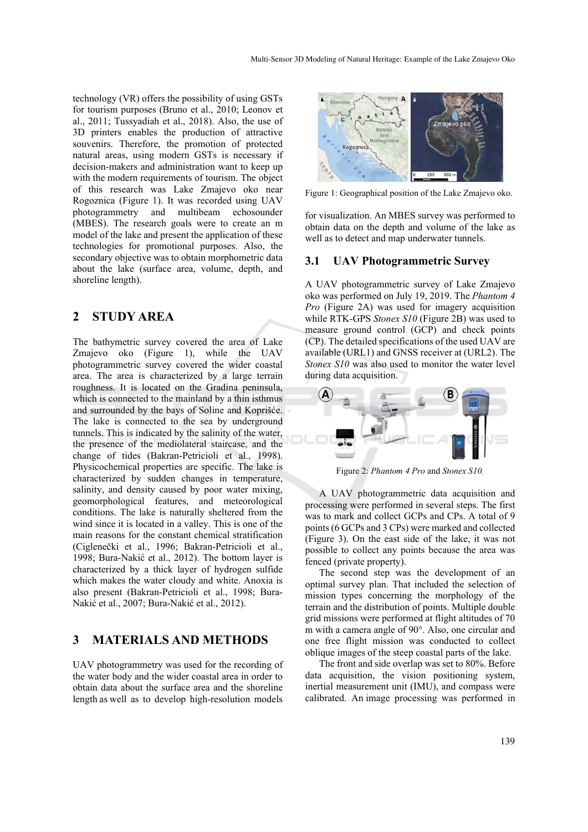technology (VR) offers the possibility of using GSTs for tourism purposes (Bruno et al., 2010; Leonov et al., 2011; Tussyadiah et al., 2018). Also, the use of 3D printers enables the production of attractive souvenirs. Therefore, the promotion of protected natural areas, using modern GSTs is necessary if decision-makers and administration want to keep up with the modern requirements of tourism. The object of this research was Lake Zmajevo oko near Rogoznica (Figure 1). It was recorded using UAV photogrammetry and multibeam echosounder (MBES). The research goals were to create an m model of the lake and present the application of these technologies for promotional purposes. Also, the secondary objective was to obtain morphometric data about the lake (surface area, volume, depth, and shoreline length).

### **2 STUDY AREA**

The bathymetric survey covered the area of Lake Zmajevo oko (Figure 1), while the UAV photogrammetric survey covered the wider coastal area. The area is characterized by a large terrain roughness. It is located on the Gradina peninsula, which is connected to the mainland by a thin isthmus and surrounded by the bays of Soline and Koprišće. The lake is connected to the sea by underground tunnels. This is indicated by the salinity of the water, the presence of the mediolateral staircase, and the change of tides (Bakran-Petricioli et al., 1998). Physicochemical properties are specific. The lake is characterized by sudden changes in temperature, salinity, and density caused by poor water mixing, geomorphological features, and meteorological conditions. The lake is naturally sheltered from the wind since it is located in a valley. This is one of the main reasons for the constant chemical stratification (Ciglenečki et al., 1996; Bakran-Petricioli et al., 1998; Bura-Nakić et al., 2012). The bottom layer is characterized by a thick layer of hydrogen sulfide which makes the water cloudy and white. Anoxia is also present (Bakran-Petricioli et al., 1998; Bura-Nakić et al., 2007; Bura-Nakić et al., 2012).

### **3 MATERIALS AND METHODS**

UAV photogrammetry was used for the recording of the water body and the wider coastal area in order to obtain data about the surface area and the shoreline length as well as to develop high-resolution models



Figure 1: Geographical position of the Lake Zmajevo oko.

for visualization. An MBES survey was performed to obtain data on the depth and volume of the lake as well as to detect and map underwater tunnels.

#### **3.1 UAV Photogrammetric Survey**

A UAV photogrammetric survey of Lake Zmajevo oko was performed on July 19, 2019. The *Phantom 4 Pro* (Figure 2A) was used for imagery acquisition while RTK-GPS *Stonex S10* (Figure 2B) was used to measure ground control (GCP) and check points (CP). The detailed specifications of the used UAV are available (URL1) and GNSS receiver at (URL2). The *Stonex S10* was also used to monitor the water level during data acquisition.



Figure 2: *Phantom 4 Pro* and *Stonex S10.*

A UAV photogrammetric data acquisition and processing were performed in several steps. The first was to mark and collect GCPs and CPs. A total of 9 points (6 GCPs and 3 CPs) were marked and collected (Figure 3). On the east side of the lake, it was not possible to collect any points because the area was fenced (private property).

The second step was the development of an optimal survey plan. That included the selection of mission types concerning the morphology of the terrain and the distribution of points. Multiple double grid missions were performed at flight altitudes of 70 m with a camera angle of 90°. Also, one circular and one free flight mission was conducted to collect oblique images of the steep coastal parts of the lake.

The front and side overlap was set to 80%. Before data acquisition, the vision positioning system, inertial measurement unit (IMU), and compass were calibrated. An image processing was performed in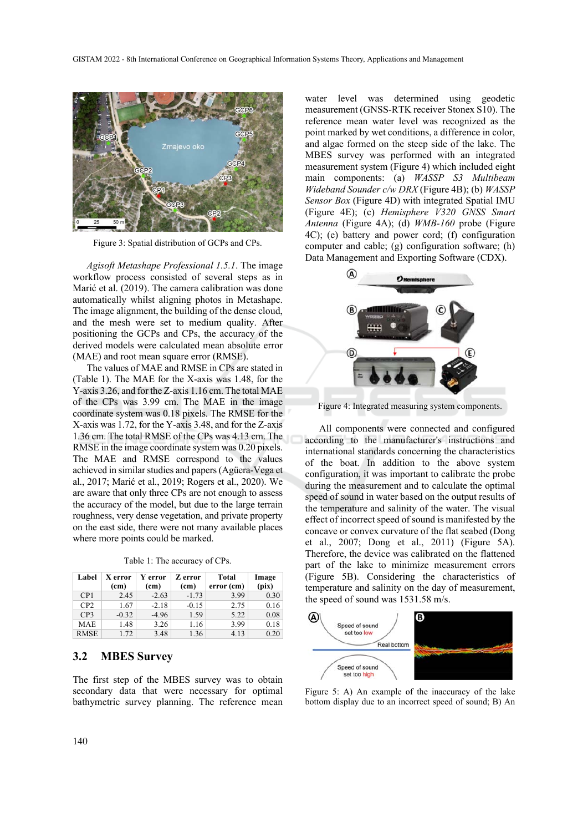

Figure 3: Spatial distribution of GCPs and CPs.

*Agisoft Metashape Professional 1.5.1*. The image workflow process consisted of several steps as in Marić et al. (2019). The camera calibration was done automatically whilst aligning photos in Metashape. The image alignment, the building of the dense cloud, and the mesh were set to medium quality. After positioning the GCPs and CPs, the accuracy of the derived models were calculated mean absolute error (MAE) and root mean square error (RMSE).

The values of MAE and RMSE in CPs are stated in (Table 1). The MAE for the X-axis was 1.48, for the Y-axis 3.26, and for the Z-axis 1.16 cm. The total MAE of the CPs was 3.99 cm. The MAE in the image coordinate system was 0.18 pixels. The RMSE for the X-axis was 1.72, for the Y-axis 3.48, and for the Z-axis 1.36 cm. The total RMSE of the CPs was 4.13 cm. The RMSE in the image coordinate system was 0.20 pixels. The MAE and RMSE correspond to the values achieved in similar studies and papers (Agüera-Vega et al., 2017; Marić et al., 2019; Rogers et al., 2020). We are aware that only three CPs are not enough to assess the accuracy of the model, but due to the large terrain roughness, very dense vegetation, and private property on the east side, there were not many available places where more points could be marked.

|  |  |  | Table 1: The accuracy of CPs. |  |  |
|--|--|--|-------------------------------|--|--|
|--|--|--|-------------------------------|--|--|

| Label       | X error<br>(c <sub>m</sub> ) | Y error<br>(cm) | Z error<br>(cm) | Total<br>error (cm) | Image<br>(pix) |
|-------------|------------------------------|-----------------|-----------------|---------------------|----------------|
| CP1         | 2.45                         | $-2.63$         | $-1.73$         | 3.99                | 0.30           |
| CP2         | 1.67                         | $-2.18$         | $-0.15$         | 2.75                | 0.16           |
| CP3         | $-0.32$                      | $-4.96$         | 1.59            | 5.22                | 0.08           |
| <b>MAE</b>  | 1.48                         | 3.26            | 1.16            | 3.99                | 0.18           |
| <b>RMSE</b> | 1.72                         | 3.48            | 1.36            | 4.13                | 0.20           |

### **3.2 MBES Survey**

The first step of the MBES survey was to obtain secondary data that were necessary for optimal bathymetric survey planning. The reference mean

water level was determined using geodetic measurement (GNSS-RTK receiver Stonex S10). The reference mean water level was recognized as the point marked by wet conditions, a difference in color, and algae formed on the steep side of the lake. The MBES survey was performed with an integrated measurement system (Figure 4) which included eight main components: (a) *WASSP S3 Multibeam Wideband Sounder c/w DRX* (Figure 4B); (b) *WASSP Sensor Box* (Figure 4D) with integrated Spatial IMU (Figure 4E); (c) *Hemisphere V320 GNSS Smart Antenna* (Figure 4A); (d) *WMB-160* probe (Figure 4C); (e) battery and power cord; (f) configuration computer and cable; (g) configuration software; (h) Data Management and Exporting Software (CDX).



Figure 4: Integrated measuring system components.

All components were connected and configured according to the manufacturer's instructions and international standards concerning the characteristics of the boat. In addition to the above system configuration, it was important to calibrate the probe during the measurement and to calculate the optimal speed of sound in water based on the output results of the temperature and salinity of the water. The visual effect of incorrect speed of sound is manifested by the concave or convex curvature of the flat seabed (Dong et al., 2007; Dong et al., 2011) (Figure 5A). Therefore, the device was calibrated on the flattened part of the lake to minimize measurement errors (Figure 5B). Considering the characteristics of temperature and salinity on the day of measurement, the speed of sound was 1531.58 m/s.



Figure 5: A) An example of the inaccuracy of the lake bottom display due to an incorrect speed of sound; B) An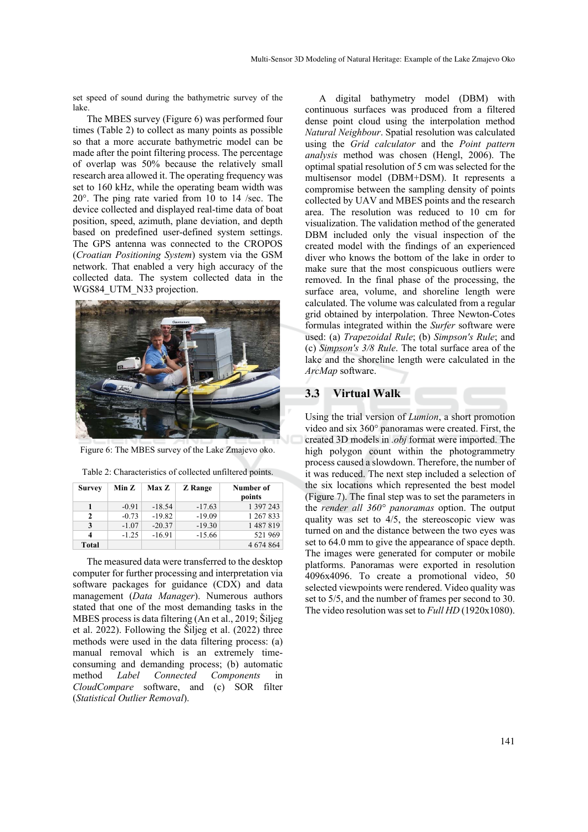set speed of sound during the bathymetric survey of the lake.

The MBES survey (Figure 6) was performed four times (Table 2) to collect as many points as possible so that a more accurate bathymetric model can be made after the point filtering process. The percentage of overlap was 50% because the relatively small research area allowed it. The operating frequency was set to 160 kHz, while the operating beam width was 20°. The ping rate varied from 10 to 14 /sec. The device collected and displayed real-time data of boat position, speed, azimuth, plane deviation, and depth based on predefined user-defined system settings. The GPS antenna was connected to the CROPOS (*Croatian Positioning System*) system via the GSM network. That enabled a very high accuracy of the collected data. The system collected data in the WGS84 UTM N33 projection.



Figure 6: The MBES survey of the Lake Zmajevo oko.

| Table 2: Characteristics of collected unfiltered points. |  |  |  |
|----------------------------------------------------------|--|--|--|
|----------------------------------------------------------|--|--|--|

| <b>Survey</b> | Min Z   | <b>Max Z</b> | <b>Z</b> Range | Number of<br>points |
|---------------|---------|--------------|----------------|---------------------|
| 1             | $-0.91$ | $-18.54$     | $-17.63$       | 1 397 243           |
| 2             | $-0.73$ | $-19.82$     | $-19.09$       | 1 267 833           |
| 3             | $-1.07$ | $-20.37$     | $-19.30$       | 1487819             |
| 4             | $-1.25$ | $-16.91$     | $-15.66$       | 521969              |
| Total         |         |              |                | 4 674 864           |

The measured data were transferred to the desktop computer for further processing and interpretation via software packages for guidance (CDX) and data management (*Data Manager*). Numerous authors stated that one of the most demanding tasks in the MBES process is data filtering (An et al., 2019; Šiljeg et al. 2022). Following the Šiljeg et al. (2022) three methods were used in the data filtering process: (a) manual removal which is an extremely timeconsuming and demanding process; (b) automatic method *Label Connected Components* in *CloudCompare* software, and (c) SOR filter (*Statistical Outlier Removal*).

A digital bathymetry model (DBM) with continuous surfaces was produced from a filtered dense point cloud using the interpolation method *Natural Neighbour*. Spatial resolution was calculated using the *Grid calculator* and the *Point pattern analysis* method was chosen (Hengl, 2006). The optimal spatial resolution of 5 cm was selected for the multisensor model (DBM+DSM). It represents a compromise between the sampling density of points collected by UAV and MBES points and the research area. The resolution was reduced to 10 cm for visualization. The validation method of the generated DBM included only the visual inspection of the created model with the findings of an experienced diver who knows the bottom of the lake in order to make sure that the most conspicuous outliers were removed. In the final phase of the processing, the surface area, volume, and shoreline length were calculated. The volume was calculated from a regular grid obtained by interpolation. Three Newton-Cotes formulas integrated within the *Surfer* software were used: (a) *Trapezoidal Rule*; (b) *Simpson's Rule*; and (c) *Simpson's 3/8 Rule*. The total surface area of the lake and the shoreline length were calculated in the *ArcMap* software.

### **3.3 Virtual Walk**

Using the trial version of *Lumion*, a short promotion video and six 360° panoramas were created. First, the created 3D models in *.obj* format were imported. The high polygon count within the photogrammetry process caused a slowdown. Therefore, the number of it was reduced. The next step included a selection of the six locations which represented the best model (Figure 7). The final step was to set the parameters in the *render all 360° panoramas* option. The output quality was set to 4/5, the stereoscopic view was turned on and the distance between the two eyes was set to 64.0 mm to give the appearance of space depth. The images were generated for computer or mobile platforms. Panoramas were exported in resolution 4096x4096. To create a promotional video, 50 selected viewpoints were rendered. Video quality was set to 5/5, and the number of frames per second to 30. The video resolution was set to *Full HD* (1920x1080).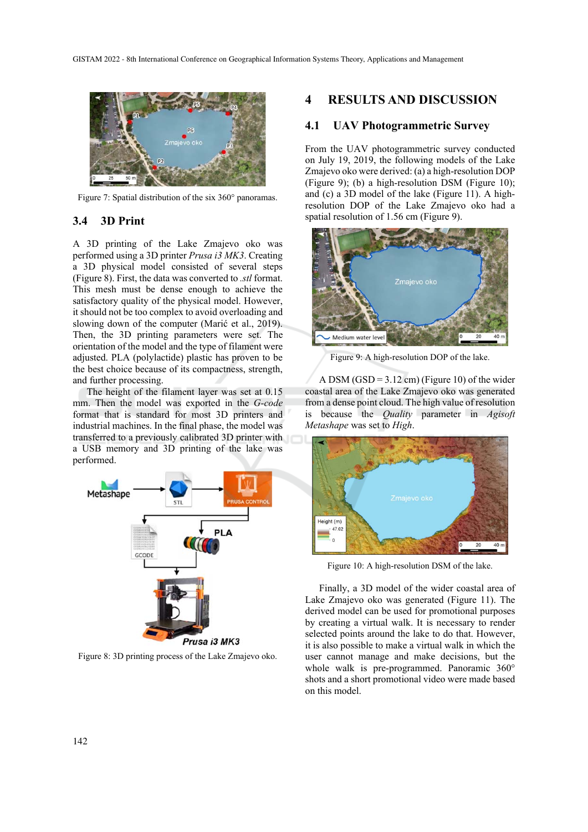

Figure 7: Spatial distribution of the six 360° panoramas.

### **3.4 3D Print**

A 3D printing of the Lake Zmajevo oko was performed using a 3D printer *Prusa i3 MK3*. Creating a 3D physical model consisted of several steps (Figure 8). First, the data was converted to *.stl* format. This mesh must be dense enough to achieve the satisfactory quality of the physical model. However, it should not be too complex to avoid overloading and slowing down of the computer (Marić et al., 2019). Then, the 3D printing parameters were set. The orientation of the model and the type of filament were adjusted. PLA (polylactide) plastic has proven to be the best choice because of its compactness, strength, and further processing.

The height of the filament layer was set at 0.15 mm. Then the model was exported in the *G-code* format that is standard for most 3D printers and industrial machines. In the final phase, the model was transferred to a previously calibrated 3D printer with a USB memory and 3D printing of the lake was performed.



Figure 8: 3D printing process of the Lake Zmajevo oko.

### **4 RESULTS AND DISCUSSION**

#### **4.1 UAV Photogrammetric Survey**

From the UAV photogrammetric survey conducted on July 19, 2019, the following models of the Lake Zmajevo oko were derived: (a) a high-resolution DOP (Figure 9); (b) a high-resolution DSM (Figure 10); and (c) a 3D model of the lake (Figure 11). A highresolution DOP of the Lake Zmajevo oko had a spatial resolution of 1.56 cm (Figure 9).



Figure 9: A high-resolution DOP of the lake.

A DSM (GSD =  $3.12$  cm) (Figure 10) of the wider coastal area of the Lake Zmajevo oko was generated from a dense point cloud. The high value of resolution is because the *Quality* parameter in *Agisoft Metashape* was set to *High*.



Figure 10: A high-resolution DSM of the lake.

Finally, a 3D model of the wider coastal area of Lake Zmajevo oko was generated (Figure 11). The derived model can be used for promotional purposes by creating a virtual walk. It is necessary to render selected points around the lake to do that. However, it is also possible to make a virtual walk in which the user cannot manage and make decisions, but the whole walk is pre-programmed. Panoramic 360° shots and a short promotional video were made based on this model.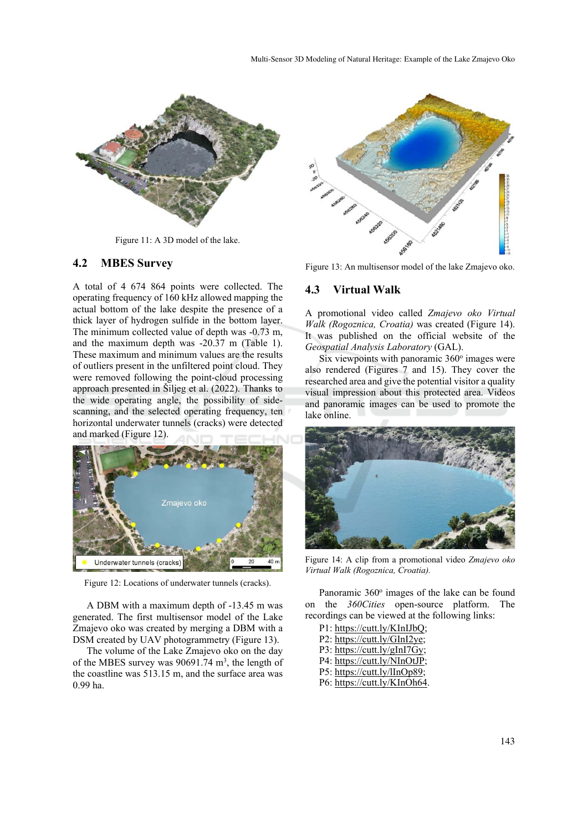

Figure 11: A 3D model of the lake.

#### **4.2 MBES Survey**

A total of 4 674 864 points were collected. The operating frequency of 160 kHz allowed mapping the actual bottom of the lake despite the presence of a thick layer of hydrogen sulfide in the bottom layer. The minimum collected value of depth was -0.73 m, and the maximum depth was -20.37 m (Table 1). These maximum and minimum values are the results of outliers present in the unfiltered point cloud. They were removed following the point-cloud processing approach presented in Šiljeg et al. (2022). Thanks to the wide operating angle, the possibility of sidescanning, and the selected operating frequency, ten horizontal underwater tunnels (cracks) were detected and marked (Figure 12).



Figure 12: Locations of underwater tunnels (cracks).

A DBM with a maximum depth of -13.45 m was generated. The first multisensor model of the Lake Zmajevo oko was created by merging a DBM with a DSM created by UAV photogrammetry (Figure 13).

The volume of the Lake Zmajevo oko on the day of the MBES survey was  $90691.74 \text{ m}^3$ , the length of the coastline was 513.15 m, and the surface area was 0.99 ha.



Figure 13: An multisensor model of the lake Zmajevo oko.

#### **4.3 Virtual Walk**

A promotional video called *Zmajevo oko Virtual Walk (Rogoznica, Croatia)* was created (Figure 14). It was published on the official website of the *Geospatial Analysis Laboratory* (GAL).

Six viewpoints with panoramic 360° images were also rendered (Figures 7 and 15). They cover the researched area and give the potential visitor a quality visual impression about this protected area. Videos and panoramic images can be used to promote the lake online.



Figure 14: A clip from a promotional video *Zmajevo oko Virtual Walk (Rogoznica, Croatia).* 

Panoramic 360° images of the lake can be found on the *360Cities* open-source platform. The recordings can be viewed at the following links:

| P1: https://cutt.ly/KInIJbQ; |
|------------------------------|
| P2: https://cutt.ly/GInI2ye; |
| P3: https://cutt.ly/gInI7Gy; |
| P4: https://cutt.ly/NInOtJP; |
| P5: https://cutt.ly/lInOp89; |
| P6: https://cutt.ly/KInOh64. |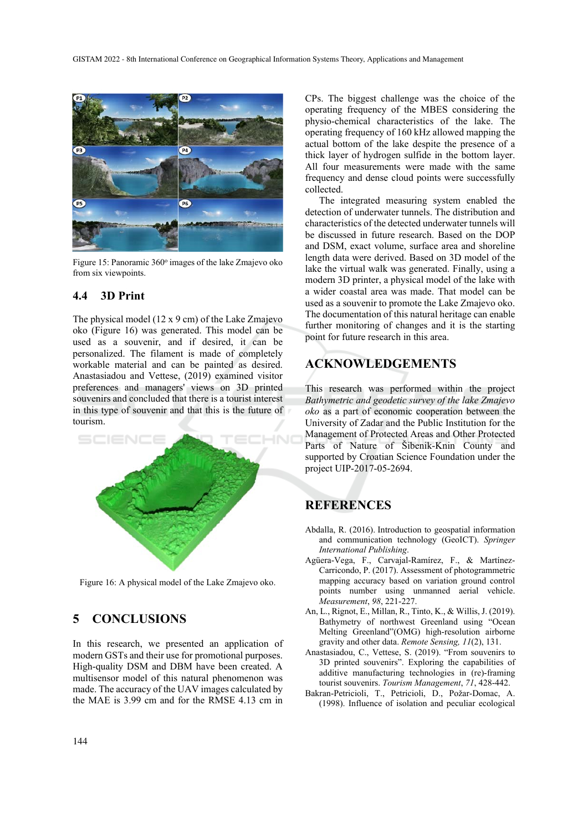

Figure 15: Panoramic  $360^\circ$  images of the lake Zmajevo oko from six viewpoints.

### **4.4 3D Print**

The physical model (12 x 9 cm) of the Lake Zmajevo oko (Figure 16) was generated. This model can be used as a souvenir, and if desired, it can be personalized. The filament is made of completely workable material and can be painted as desired. Anastasiadou and Vettese, (2019) examined visitor preferences and managers' views on 3D printed souvenirs and concluded that there is a tourist interest in this type of souvenir and that this is the future of tourism.



Figure 16: A physical model of the Lake Zmajevo oko.

### **5 CONCLUSIONS**

In this research, we presented an application of modern GSTs and their use for promotional purposes. High-quality DSM and DBM have been created. A multisensor model of this natural phenomenon was made. The accuracy of the UAV images calculated by the MAE is 3.99 cm and for the RMSE 4.13 cm in

CPs. The biggest challenge was the choice of the operating frequency of the MBES considering the physio-chemical characteristics of the lake. The operating frequency of 160 kHz allowed mapping the actual bottom of the lake despite the presence of a thick layer of hydrogen sulfide in the bottom layer. All four measurements were made with the same frequency and dense cloud points were successfully collected.

The integrated measuring system enabled the detection of underwater tunnels. The distribution and characteristics of the detected underwater tunnels will be discussed in future research. Based on the DOP and DSM, exact volume, surface area and shoreline length data were derived. Based on 3D model of the lake the virtual walk was generated. Finally, using a modern 3D printer, a physical model of the lake with a wider coastal area was made. That model can be used as a souvenir to promote the Lake Zmajevo oko. The documentation of this natural heritage can enable further monitoring of changes and it is the starting point for future research in this area.

## **ACKNOWLEDGEMENTS**

This research was performed within the project *Bathymetric and geodetic survey of the lake Zmajevo oko* as a part of economic cooperation between the University of Zadar and the Public Institution for the Management of Protected Areas and Other Protected Parts of Nature of Šibenik-Knin County and supported by Croatian Science Foundation under the project UIP-2017-05-2694.

### **REFERENCES**

- Abdalla, R. (2016). Introduction to geospatial information and communication technology (GeoICT). *Springer International Publishing*.
- Agüera-Vega, F., Carvajal-Ramírez, F., & Martínez-Carricondo, P. (2017). Assessment of photogrammetric mapping accuracy based on variation ground control points number using unmanned aerial vehicle. *Measurement*, *98*, 221-227.
- An, L., Rignot, E., Millan, R., Tinto, K., & Willis, J. (2019). Bathymetry of northwest Greenland using "Ocean Melting Greenland"(OMG) high-resolution airborne gravity and other data. *Remote Sensing, 11*(2), 131.
- Anastasiadou, C., Vettese, S. (2019). "From souvenirs to 3D printed souvenirs". Exploring the capabilities of additive manufacturing technologies in (re)-framing tourist souvenirs. *Tourism Management*, *71*, 428-442.
- Bakran-Petricioli, T., Petricioli, D., Požar-Domac, A. (1998). Influence of isolation and peculiar ecological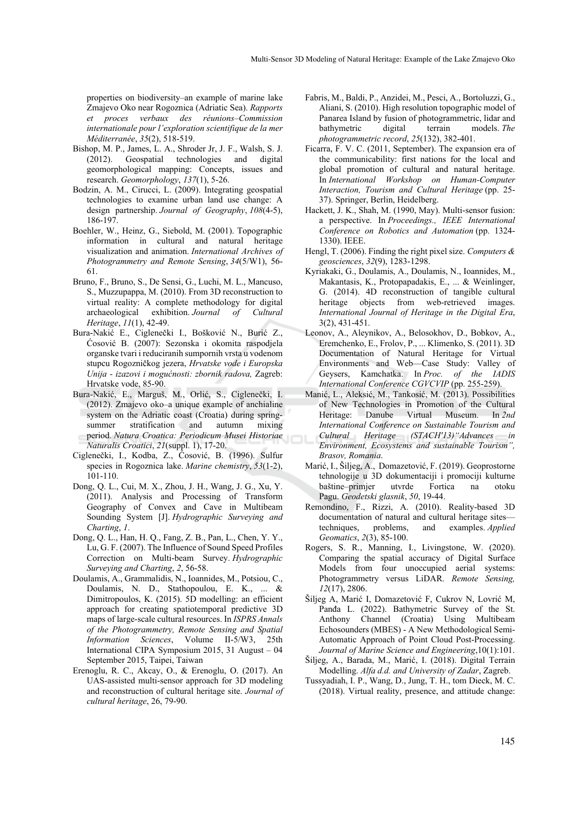properties on biodiversity–an example of marine lake Zmajevo Oko near Rogoznica (Adriatic Sea). *Rapports et proces verbaux des réunions–Commission internationale pour l'exploration scientifique de la mer Méditerranée*, *35*(2), 518-519.

- Bishop, M. P., James, L. A., Shroder Jr, J. F., Walsh, S. J. (2012). Geospatial technologies and digital geomorphological mapping: Concepts, issues and research. *Geomorphology*, *137*(1), 5-26.
- Bodzin, A. M., Cirucci, L. (2009). Integrating geospatial technologies to examine urban land use change: A design partnership. *Journal of Geography*, *108*(4-5), 186-197.
- Boehler, W., Heinz, G., Siebold, M. (2001). Topographic information in cultural and natural heritage visualization and animation. *International Archives of Photogrammetry and Remote Sensing*, *34*(5/W1), 56- 61.
- Bruno, F., Bruno, S., De Sensi, G., Luchi, M. L., Mancuso, S., Muzzupappa, M. (2010). From 3D reconstruction to virtual reality: A complete methodology for digital archaeological exhibition. *Journal of Cultural Heritage*, *11*(1), 42-49.
- Bura-Nakić E., Ciglenečki I., Bošković N., Burić Z., Ćosović B. (2007): Sezonska i okomita raspodjela organske tvari i reduciranih sumpornih vrsta u vodenom stupcu Rogozničkog jezera, *Hrvatske vode i Europska Unija - izazovi i mogućnosti: zbornik radova,* Zagreb: Hrvatske vode, 85-90.
- Bura-Nakić, E., Marguš, M., Orlić, S., Ciglenečki, I. (2012). Zmajevo oko–a unique example of anchialine system on the Adriatic coast (Croatia) during springsummer stratification and autumn mixing period. *Natura Croatica: Periodicum Musei Historiae Naturalis Croatici*, *21*(suppl. 1), 17-20.
- Ciglenečki, I., Kodba, Z., Ćosović, B. (1996). Sulfur species in Rogoznica lake. *Marine chemistry*, *53*(1-2), 101-110.
- Dong, Q. L., Cui, M. X., Zhou, J. H., Wang, J. G., Xu, Y. (2011). Analysis and Processing of Transform Geography of Convex and Cave in Multibeam Sounding System [J]. *Hydrographic Surveying and Charting*, *1*.
- Dong, Q. L., Han, H. Q., Fang, Z. B., Pan, L., Chen, Y. Y., Lu, G. F. (2007). The Influence of Sound Speed Profiles Correction on Multi-beam Survey. *Hydrographic Surveying and Charting*, *2*, 56-58.
- Doulamis, A., Grammalidis, N., Ioannides, M., Potsiou, C., Doulamis, N. D., Stathopoulou, E. K., ... & Dimitropoulos, K. (2015). 5D modelling: an efficient approach for creating spatiotemporal predictive 3D maps of large-scale cultural resources. In *ISPRS Annals of the Photogrammetry, Remote Sensing and Spatial Information Sciences*, Volume II-5/W3, 25th International CIPA Symposium 2015, 31 August – 04 September 2015, Taipei, Taiwan
- Erenoglu, R. C., Akcay, O., & Erenoglu, O. (2017). An UAS-assisted multi-sensor approach for 3D modeling and reconstruction of cultural heritage site. *Journal of cultural heritage*, 26, 79-90.
- Fabris, M., Baldi, P., Anzidei, M., Pesci, A., Bortoluzzi, G., Aliani, S. (2010). High resolution topographic model of Panarea Island by fusion of photogrammetric, lidar and bathymetric digital terrain models. *The photogrammetric record*, *25*(132), 382-401.
- Ficarra, F. V. C. (2011, September). The expansion era of the communicability: first nations for the local and global promotion of cultural and natural heritage. In *International Workshop on Human-Computer Interaction, Tourism and Cultural Heritage* (pp. 25- 37). Springer, Berlin, Heidelberg.
- Hackett, J. K., Shah, M. (1990, May). Multi-sensor fusion: a perspective. In *Proceedings., IEEE International Conference on Robotics and Automation* (pp. 1324- 1330). IEEE.
- Hengl, T. (2006). Finding the right pixel size. *Computers & geosciences*, *32*(9), 1283-1298.
- Kyriakaki, G., Doulamis, A., Doulamis, N., Ioannides, M., Makantasis, K., Protopapadakis, E., ... & Weinlinger, G. (2014). 4D reconstruction of tangible cultural heritage objects from web-retrieved images. *International Journal of Heritage in the Digital Era*, 3(2), 431-451.
- Leonov, A., Aleynikov, A., Belosokhov, D., Bobkov, A., Eremchenko, E., Frolov, P., ... Klimenko, S. (2011). 3D Documentation of Natural Heritage for Virtual Environments and Web—Case Study: Valley of Geysers, Kamchatka. In *Proc. of the IADIS International Conference CGVCVIP* (pp. 255-259).
- Manić, L., Aleksić, M., Tankosić, M. (2013). Possibilities of New Technologies in Promotion of the Cultural Heritage: Danube Virtual Museum. In *2nd International Conference on Sustainable Tourism and Cultural Heritage (STACH'13)"Advances in Environment, Ecosystems and sustainable Tourism", Brasov, Romania*.
- Marić, I., Šiljeg, A., Domazetović, F. (2019). Geoprostorne tehnologije u 3D dokumentaciji i promociji kulturne baštine–primjer utvrde Fortica na otoku Pagu. *Geodetski glasnik*, *50*, 19-44.
- Remondino, F., Rizzi, A. (2010). Reality-based 3D documentation of natural and cultural heritage sites—<br>techniques, problems, and examples. Applied techniques, problems, and examples. *Applied Geomatics*, *2*(3), 85-100.
- Rogers, S. R., Manning, I., Livingstone, W. (2020). Comparing the spatial accuracy of Digital Surface Models from four unoccupied aerial systems: Photogrammetry versus LiDAR. *Remote Sensing, 12*(17), 2806.
- Šiljeg A, Marić I, Domazetović F, Cukrov N, Lovrić M, Panđa L. (2022). Bathymetric Survey of the St. Anthony Channel (Croatia) Using Multibeam Echosounders (MBES) - A New Methodological Semi-Automatic Approach of Point Cloud Post-Processing. *Journal of Marine Science and Engineering*,10(1):101.
- Šiljeg, A., Barada, M., Marić, I. (2018). Digital Terrain Modelling. *Alfa d.d. and University of Zadar*, Zagreb.
- Tussyadiah, I. P., Wang, D., Jung, T. H., tom Dieck, M. C. (2018). Virtual reality, presence, and attitude change: